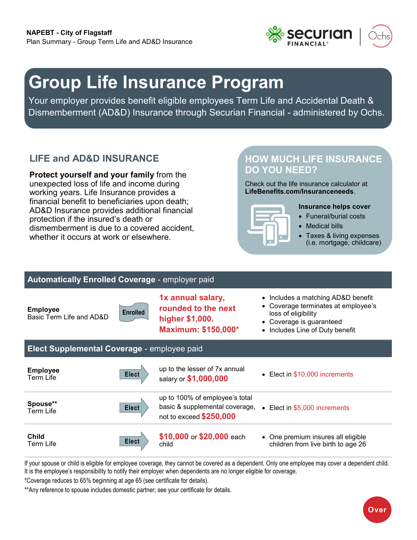

# **Group Life Insurance Program**

Your employer provides benefit eligible employees Term Life and Accidental Death & Dismemberment (AD&D) Insurance through Securian Financial - administered by Ochs.

# **LIFE and AD&D INSURANCE**

**Protect yourself and your family** from the unexpected loss of life and income during working years. Life Insurance provides a financial benefit to beneficiaries upon death; AD&D Insurance provides additional financial protection if the insured's death or dismemberment is due to a covered accident, whether it occurs at work or elsewhere.

# **HOW MUCH LIFE INSURANCE DO YOU NEED?**

Check out the life insurance calculator at **[LifeBenefits.com/Insuranceneeds](https://web1.lifebenefits.com/sites/lbwem/home/insurance-basics/insurance-needs-calculator)**.



#### **Insurance helps cover**

- Funeral/burial costs
- Medical bills
- Taxes & living expenses (i.e. mortgage, childcare)

### **Automatically Enrolled Coverage** - employer paid

**Employee**  Basic Term Life and AD&D



- **1x annual salary, rounded to the next higher \$1,000. Maximum: \$150,000\***
- Includes a matching AD&D benefit
- Coverage terminates at employee's loss of eligibility
- Coverage is guaranteed
- Includes Line of Duty benefit

## **Elect Supplemental Coverage** - employee paid

| <b>Employee</b><br>Term Life | <b>Elect</b> | up to the lesser of 7x annual<br>salary or \$1,000,000                                      | • Elect in \$10,000 increments                                           |
|------------------------------|--------------|---------------------------------------------------------------------------------------------|--------------------------------------------------------------------------|
| <b>Spouse**</b><br>Term Life | Elect        | up to 100% of employee's total<br>basic & supplemental coverage,<br>not to exceed \$250,000 | • Elect in \$5,000 increments                                            |
| <b>Child</b><br>Term Life    | <b>Elect</b> | <b>\$10,000</b> or <b>\$20,000</b> each<br>child                                            | • One premium insures all eligible<br>children from live birth to age 26 |

If your spouse or child is eligible for employee coverage, they cannot be covered as a dependent. Only one employee may cover a dependent child. It is the employee's responsibility to notify their employer when dependents are no longer eligible for coverage.

\*Coverage reduces to 65% beginning at age 65 (see certificate for details).

\*\*Any reference to spouse includes domestic partner; see your certificate for details.

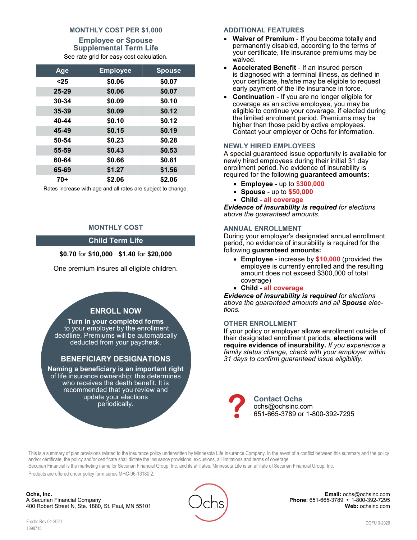#### **MONTHLY COST PER \$1,000 Employee or Spouse Supplemental Term Life** See rate grid for easy cost calculation.

| Age       | <b>Employee</b> | <b>Spouse</b> |
|-----------|-----------------|---------------|
| $25$      | \$0.06          | \$0.07        |
| $25 - 29$ | \$0.06          | \$0.07        |
| $30 - 34$ | \$0.09          | \$0.10        |
| $35 - 39$ | \$0.09          | \$0.12        |
| 40-44     | \$0.10          | \$0.12        |
| 45-49     | \$0.15          | \$0.19        |
| 50-54     | \$0.23          | \$0.28        |
| 55-59     | \$0.43          | \$0.53        |
| 60-64     | \$0.66          | \$0.81        |
| 65-69     | \$1.27          | \$1.56        |
| $70+$     | \$2.06          | \$2.06        |

Rates increase with age and all rates are subject to change.

#### **MONTHLY COST**

#### **Child Term Life**

#### **\$0.70** for **\$10,000 \$1.40** for **\$20,000**

One premium insures all eligible children.

#### **ENROLL NOW**

**Turn in your completed forms**  to your employer by the enrollment deadline. Premiums will be automatically deducted from your paycheck.

#### **BENEFICIARY DESIGNATIONS**

**Naming a beneficiary is an important right**  of life insurance ownership; this determines who receives the death benefit. It is recommended that you review and update your elections periodically.

#### **ADDITIONAL FEATURES**

- **Waiver of Premium** If you become totally and permanently disabled, according to the terms of your certificate, life insurance premiums may be waived.
- **Accelerated Benefit** If an insured person is diagnosed with a terminal illness, as defined in your certificate, he/she may be eligible to request early payment of the life insurance in force.
- **Continuation**  If you are no longer eligible for coverage as an active employee, you may be eligible to continue your coverage, if elected during the limited enrolment period. Premiums may be higher than those paid by active employees. Contact your employer or Ochs for information.

#### **NEWLY HIRED EMPLOYEES**

A special guaranteed issue opportunity is available for newly hired employees during their initial 31 day enrollment period. No evidence of insurability is required for the following **guaranteed amounts:** 

- **Employee** up to **\$300,000**
- **Spouse** up to **\$50,000**
- **Child all coverage**

*Evidence of insurability is required for elections above the guaranteed amounts.* 

#### **ANNUAL ENROLLMENT**

During your employer's designated annual enrollment period, no evidence of insurability is required for the following **guaranteed amounts:** 

- **Employee** increase by **\$10,000** (provided the employee is currently enrolled and the resulting amount does not exceed \$300,000 of total coverage)
- **Child all coverage**

*Evidence of insurability is required for elections above the guaranteed amounts and all Spouse elections.*

#### **OTHER ENROLLMENT**

If your policy or employer allows enrollment outside of their designated enrollment periods, **elections will require evidence of insurability.** *If you experience a family status change, check with your employer within 31 days to confirm guaranteed issue eligibility.*



This is a summary of plan provisions related to the insurance policy underwritten by Minnesota Life Insurance Company. In the event of a conflict between this summary and the policy and/or certificate, the policy and/or certificate shall dictate the insurance provisions, exclusions, all limitations and terms of coverage. Securian Financial is the marketing name for Securian Financial Group, Inc. and its affiliates. Minnesota Life is an affiliate of Securian Financial Group, Inc.

Products are offered under policy form series MHC-96-13180.2.

**Ochs, Inc.** A Securian Financial Company 400 Robert Street N, Ste. 1880, St. Paul, MN 55101



**Email:** ochs@ochsinc.com **Phone:** 651-665-3789 • 1-800-392-7295 **Web:** [ochsinc.com](http://www.ochsinc.com/)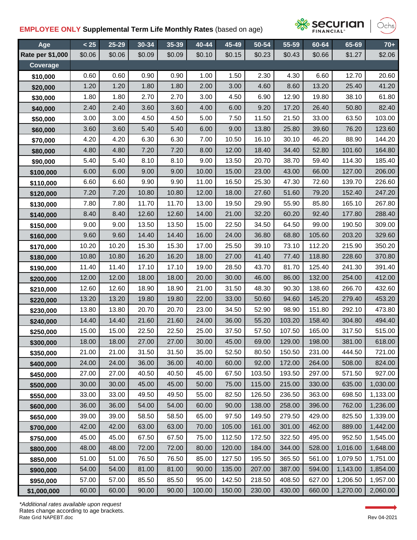## **EMPLOYEE ONLY Supplemental Term Life Monthly Rates** (based on age)



Dchs

| Age              | < 25   | 25-29  | 30-34  | 35-39  | 40-44  | 45-49  | 50-54  | 55-59  | 60-64  | 65-69    | $70+$    |
|------------------|--------|--------|--------|--------|--------|--------|--------|--------|--------|----------|----------|
| Rate per \$1,000 | \$0.06 | \$0.06 | \$0.09 | \$0.09 | \$0.10 | \$0.15 | \$0.23 | \$0.43 | \$0.66 | \$1.27   | \$2.06   |
| Coverage         |        |        |        |        |        |        |        |        |        |          |          |
| \$10,000         | 0.60   | 0.60   | 0.90   | 0.90   | 1.00   | 1.50   | 2.30   | 4.30   | 6.60   | 12.70    | 20.60    |
| \$20,000         | 1.20   | 1.20   | 1.80   | 1.80   | 2.00   | 3.00   | 4.60   | 8.60   | 13.20  | 25.40    | 41.20    |
| \$30,000         | 1.80   | 1.80   | 2.70   | 2.70   | 3.00   | 4.50   | 6.90   | 12.90  | 19.80  | 38.10    | 61.80    |
| \$40,000         | 2.40   | 2.40   | 3.60   | 3.60   | 4.00   | 6.00   | 9.20   | 17.20  | 26.40  | 50.80    | 82.40    |
| \$50,000         | 3.00   | 3.00   | 4.50   | 4.50   | 5.00   | 7.50   | 11.50  | 21.50  | 33.00  | 63.50    | 103.00   |
| \$60,000         | 3.60   | 3.60   | 5.40   | 5.40   | 6.00   | 9.00   | 13.80  | 25.80  | 39.60  | 76.20    | 123.60   |
| \$70,000         | 4.20   | 4.20   | 6.30   | 6.30   | 7.00   | 10.50  | 16.10  | 30.10  | 46.20  | 88.90    | 144.20   |
| \$80,000         | 4.80   | 4.80   | 7.20   | 7.20   | 8.00   | 12.00  | 18.40  | 34.40  | 52.80  | 101.60   | 164.80   |
| \$90,000         | 5.40   | 5.40   | 8.10   | 8.10   | 9.00   | 13.50  | 20.70  | 38.70  | 59.40  | 114.30   | 185.40   |
| \$100,000        | 6.00   | 6.00   | 9.00   | 9.00   | 10.00  | 15.00  | 23.00  | 43.00  | 66.00  | 127.00   | 206.00   |
| \$110,000        | 6.60   | 6.60   | 9.90   | 9.90   | 11.00  | 16.50  | 25.30  | 47.30  | 72.60  | 139.70   | 226.60   |
| \$120,000        | 7.20   | 7.20   | 10.80  | 10.80  | 12.00  | 18.00  | 27.60  | 51.60  | 79.20  | 152.40   | 247.20   |
| \$130,000        | 7.80   | 7.80   | 11.70  | 11.70  | 13.00  | 19.50  | 29.90  | 55.90  | 85.80  | 165.10   | 267.80   |
| \$140,000        | 8.40   | 8.40   | 12.60  | 12.60  | 14.00  | 21.00  | 32.20  | 60.20  | 92.40  | 177.80   | 288.40   |
| \$150,000        | 9.00   | 9.00   | 13.50  | 13.50  | 15.00  | 22.50  | 34.50  | 64.50  | 99.00  | 190.50   | 309.00   |
| \$160,000        | 9.60   | 9.60   | 14.40  | 14.40  | 16.00  | 24.00  | 36.80  | 68.80  | 105.60 | 203.20   | 329.60   |
| \$170,000        | 10.20  | 10.20  | 15.30  | 15.30  | 17.00  | 25.50  | 39.10  | 73.10  | 112.20 | 215.90   | 350.20   |
| \$180,000        | 10.80  | 10.80  | 16.20  | 16.20  | 18.00  | 27.00  | 41.40  | 77.40  | 118.80 | 228.60   | 370.80   |
| \$190,000        | 11.40  | 11.40  | 17.10  | 17.10  | 19.00  | 28.50  | 43.70  | 81.70  | 125.40 | 241.30   | 391.40   |
| \$200,000        | 12.00  | 12.00  | 18.00  | 18.00  | 20.00  | 30.00  | 46.00  | 86.00  | 132.00 | 254.00   | 412.00   |
| \$210,000        | 12.60  | 12.60  | 18.90  | 18.90  | 21.00  | 31.50  | 48.30  | 90.30  | 138.60 | 266.70   | 432.60   |
| \$220,000        | 13.20  | 13.20  | 19.80  | 19.80  | 22.00  | 33.00  | 50.60  | 94.60  | 145.20 | 279.40   | 453.20   |
| \$230,000        | 13.80  | 13.80  | 20.70  | 20.70  | 23.00  | 34.50  | 52.90  | 98.90  | 151.80 | 292.10   | 473.80   |
| \$240,000        | 14.40  | 14.40  | 21.60  | 21.60  | 24.00  | 36.00  | 55.20  | 103.20 | 158.40 | 304.80   | 494.40   |
| \$250,000        | 15.00  | 15.00  | 22.50  | 22.50  | 25.00  | 37.50  | 57.50  | 107.50 | 165.00 | 317.50   | 515.00   |
| \$300,000        | 18.00  | 18.00  | 27.00  | 27.00  | 30.00  | 45.00  | 69.00  | 129.00 | 198.00 | 381.00   | 618.00   |
| \$350,000        | 21.00  | 21.00  | 31.50  | 31.50  | 35.00  | 52.50  | 80.50  | 150.50 | 231.00 | 444.50   | 721.00   |
| \$400,000        | 24.00  | 24.00  | 36.00  | 36.00  | 40.00  | 60.00  | 92.00  | 172.00 | 264.00 | 508.00   | 824.00   |
| \$450,000        | 27.00  | 27.00  | 40.50  | 40.50  | 45.00  | 67.50  | 103.50 | 193.50 | 297.00 | 571.50   | 927.00   |
| \$500,000        | 30.00  | 30.00  | 45.00  | 45.00  | 50.00  | 75.00  | 115.00 | 215.00 | 330.00 | 635.00   | 1,030.00 |
| \$550,000        | 33.00  | 33.00  | 49.50  | 49.50  | 55.00  | 82.50  | 126.50 | 236.50 | 363.00 | 698.50   | 1,133.00 |
| \$600,000        | 36.00  | 36.00  | 54.00  | 54.00  | 60.00  | 90.00  | 138.00 | 258.00 | 396.00 | 762.00   | 1,236.00 |
| \$650,000        | 39.00  | 39.00  | 58.50  | 58.50  | 65.00  | 97.50  | 149.50 | 279.50 | 429.00 | 825.50   | 1,339.00 |
| \$700,000        | 42.00  | 42.00  | 63.00  | 63.00  | 70.00  | 105.00 | 161.00 | 301.00 | 462.00 | 889.00   | 1,442.00 |
| \$750,000        | 45.00  | 45.00  | 67.50  | 67.50  | 75.00  | 112.50 | 172.50 | 322.50 | 495.00 | 952.50   | 1,545.00 |
| \$800,000        | 48.00  | 48.00  | 72.00  | 72.00  | 80.00  | 120.00 | 184.00 | 344.00 | 528.00 | 1,016.00 | 1,648.00 |
| \$850,000        | 51.00  | 51.00  | 76.50  | 76.50  | 85.00  | 127.50 | 195.50 | 365.50 | 561.00 | 1,079.50 | 1,751.00 |
| \$900,000        | 54.00  | 54.00  | 81.00  | 81.00  | 90.00  | 135.00 | 207.00 | 387.00 | 594.00 | 1,143.00 | 1,854.00 |
| \$950,000        | 57.00  | 57.00  | 85.50  | 85.50  | 95.00  | 142.50 | 218.50 | 408.50 | 627.00 | 1,206.50 | 1,957.00 |
| \$1,000,000      | 60.00  | 60.00  | 90.00  | 90.00  | 100.00 | 150.00 | 230.00 | 430.00 | 660.00 | 1,270.00 | 2,060.00 |

Rate Grid NAPEBT.doc The Contract Contract Contract Contract Contract Contract Contract Contract Contract Contract Contract Contract Contract Contract Contract Contract Contract Contract Contract Contract Contract Contract *\*Additional rates available upon request* Rates change according to age brackets.